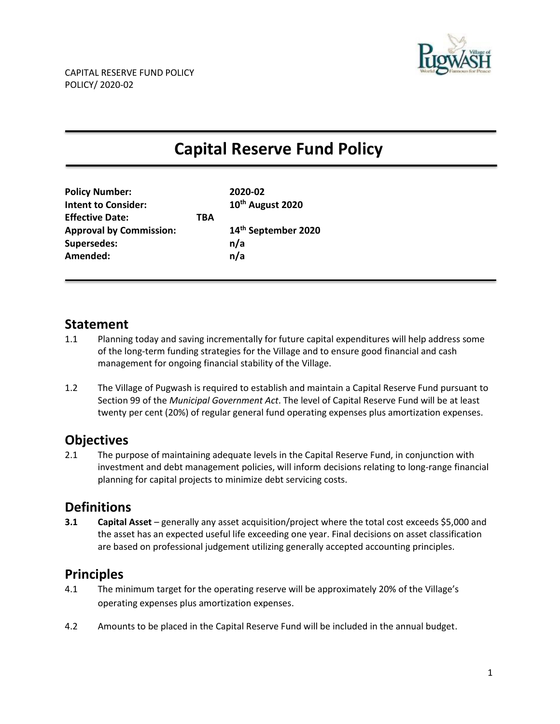

# **Capital Reserve Fund Policy**

| <b>Policy Number:</b>          |     | 2020-02                      |
|--------------------------------|-----|------------------------------|
| <b>Intent to Consider:</b>     |     | 10 <sup>th</sup> August 2020 |
| <b>Effective Date:</b>         | TBA |                              |
| <b>Approval by Commission:</b> |     | 14th September 2020          |
| <b>Supersedes:</b>             |     | n/a                          |
| Amended:                       |     | n/a                          |
|                                |     |                              |

### **Statement**

- 1.1 Planning today and saving incrementally for future capital expenditures will help address some of the long-term funding strategies for the Village and to ensure good financial and cash management for ongoing financial stability of the Village.
- 1.2 The Village of Pugwash is required to establish and maintain a Capital Reserve Fund pursuant to Section 99 of the *Municipal Government Act*. The level of Capital Reserve Fund will be at least twenty per cent (20%) of regular general fund operating expenses plus amortization expenses.

## **Objectives**

2.1 The purpose of maintaining adequate levels in the Capital Reserve Fund, in conjunction with investment and debt management policies, will inform decisions relating to long-range financial planning for capital projects to minimize debt servicing costs.

## **Definitions**

**3.1 Capital Asset** – generally any asset acquisition/project where the total cost exceeds \$5,000 and the asset has an expected useful life exceeding one year. Final decisions on asset classification are based on professional judgement utilizing generally accepted accounting principles.

## **Principles**

- 4.1 The minimum target for the operating reserve will be approximately 20% of the Village's operating expenses plus amortization expenses.
- 4.2 Amounts to be placed in the Capital Reserve Fund will be included in the annual budget.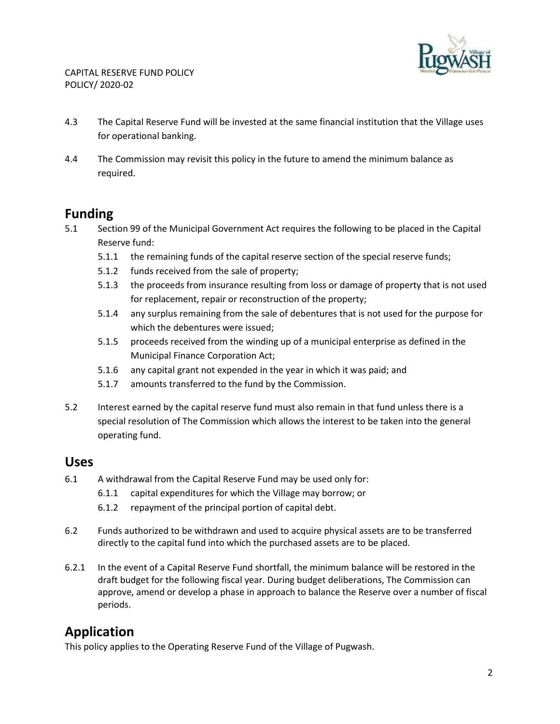

- 4.3 The Capital Reserve Fund will be invested at the same financial institution that the Village uses for operational banking.
- 4.4 The Commission may revisit this policy in the future to amend the minimum balance as required.

### **Funding**

- 5.1 Section 99 of the Municipal Government Act requires the following to be placed in the Capital Reserve fund:
	- 5.1.1 the remaining funds of the capital reserve section of the special reserve funds;
	- 5.1.2 funds received from the sale of property;
	- 5.1.3 the proceeds from insurance resulting from loss or damage of property that is not used for replacement, repair or reconstruction of the property;
	- 5.1.4 any surplus remaining from the sale of debentures that is not used for the purpose for which the debentures were issued;
	- 5.1.5 proceeds received from the winding up of a municipal enterprise as defined in the Municipal Finance Corporation Act;
	- 5.1.6 any capital grant not expended in the year in which it was paid; and
	- 5.1.7 amounts transferred to the fund by the Commission.
- 5.2 Interest earned by the capital reserve fund must also remain in that fund unless there is a special resolution of The Commission which allows the interest to be taken into the general operating fund.

#### **Uses**

- 6.1 A withdrawal from the Capital Reserve Fund may be used only for:
	- 6.1.1 capital expenditures for which the Village may borrow; or
	- 6.1.2 repayment of the principal portion of capital debt.
- 6.2 Funds authorized to be withdrawn and used to acquire physical assets are to be transferred directly to the capital fund into which the purchased assets are to be placed.
- 6.2.1 In the event of a Capital Reserve Fund shortfall, the minimum balance will be restored in the draft budget for the following fiscal year. During budget deliberations, The Commission can approve, amend or develop a phase in approach to balance the Reserve over a number of fiscal periods.

## **Application**

This policy applies to the Operating Reserve Fund of the Village of Pugwash.